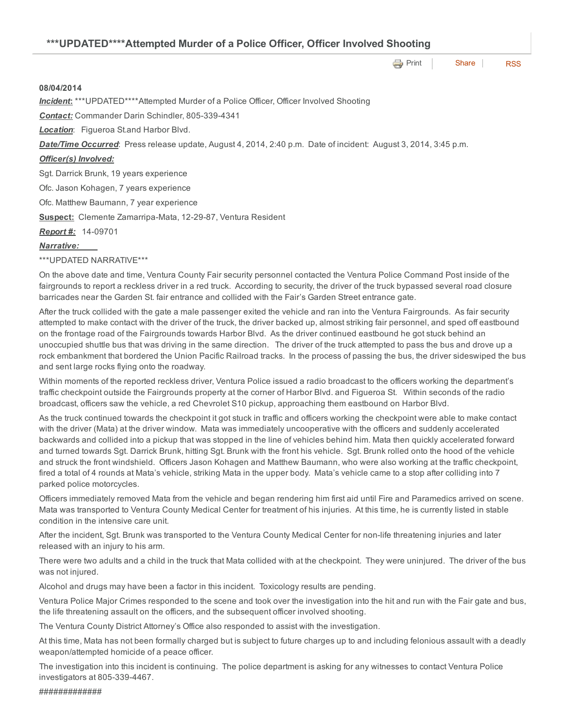| ***UPDATED****Attempted Murder of a Police Officer, Officer Involved Shooting |  |  |  |  |
|-------------------------------------------------------------------------------|--|--|--|--|
|                                                                               |  |  |  |  |

**e** [Print](http://www.cityofventura.net/print/15983) | [Share](javascript:void(0)) | [RSS](http://www.cityofventura.net/feed/press_release/rss.xml)

#### 08/04/2014

*Incident*: \*\*\*UPDATED\*\*\*\*Attempted Murder of a Police Officer, Officer Involved Shooting

**Contact:** Commander Darin Schindler, 805-339-4341

*Location*: Figueroa St.and Harbor Blvd.

*Date/Time Occurred*: Press release update, August 4, 2014, 2:40 p.m. Date of incident: August 3, 2014, 3:45 p.m.

#### *Officer(s) Involved:*

Sgt. Darrick Brunk, 19 years experience

Ofc. Jason Kohagen, 7 years experience

Ofc. Matthew Baumann, 7 year experience

Suspect: Clemente Zamarripa-Mata, 12-29-87, Ventura Resident

**Report #:** 14-09701

# *Narrative:*

## \*\*\*UPDATED NARRATIVE\*\*\*

On the above date and time, Ventura County Fair security personnel contacted the Ventura Police Command Post inside of the fairgrounds to report a reckless driver in a red truck. According to security, the driver of the truck bypassed several road closure barricades near the Garden St. fair entrance and collided with the Fair's Garden Street entrance gate.

After the truck collided with the gate a male passenger exited the vehicle and ran into the Ventura Fairgrounds. As fair security attempted to make contact with the driver of the truck, the driver backed up, almost striking fair personnel, and sped off eastbound on the frontage road of the Fairgrounds towards Harbor Blvd. As the driver continued eastbound he got stuck behind an unoccupied shuttle bus that was driving in the same direction. The driver of the truck attempted to pass the bus and drove up a rock embankment that bordered the Union Pacific Railroad tracks. In the process of passing the bus, the driver sideswiped the bus and sent large rocks flying onto the roadway.

Within moments of the reported reckless driver, Ventura Police issued a radio broadcast to the officers working the department's traffic checkpoint outside the Fairgrounds property at the corner of Harbor Blvd. and Figueroa St. Within seconds of the radio broadcast, officers saw the vehicle, a red Chevrolet S10 pickup, approaching them eastbound on Harbor Blvd.

As the truck continued towards the checkpoint it got stuck in traffic and officers working the checkpoint were able to make contact with the driver (Mata) at the driver window. Mata was immediately uncooperative with the officers and suddenly accelerated backwards and collided into a pickup that was stopped in the line of vehicles behind him. Mata then quickly accelerated forward and turned towards Sgt. Darrick Brunk, hitting Sgt. Brunk with the front his vehicle. Sgt. Brunk rolled onto the hood of the vehicle and struck the front windshield. Officers Jason Kohagen and Matthew Baumann, who were also working at the traffic checkpoint, fired a total of 4 rounds at Mata's vehicle, striking Mata in the upper body. Mata's vehicle came to a stop after colliding into 7 parked police motorcycles.

Officers immediately removed Mata from the vehicle and began rendering him first aid until Fire and Paramedics arrived on scene. Mata was transported to Ventura County Medical Center for treatment of his injuries. At this time, he is currently listed in stable condition in the intensive care unit.

After the incident, Sgt. Brunk was transported to the Ventura County Medical Center for non-life threatening injuries and later released with an injury to his arm.

There were two adults and a child in the truck that Mata collided with at the checkpoint. They were uninjured. The driver of the bus was not injured.

Alcohol and drugs may have been a factor in this incident. Toxicology results are pending.

Ventura Police Major Crimes responded to the scene and took over the investigation into the hit and run with the Fair gate and bus, the life threatening assault on the officers, and the subsequent officer involved shooting.

The Ventura County District Attorney's Office also responded to assist with the investigation.

At this time, Mata has not been formally charged but is subject to future charges up to and including felonious assault with a deadly weapon/attempted homicide of a peace officer.

The investigation into this incident is continuing. The police department is asking for any witnesses to contact Ventura Police investigators at 805-339-4467.